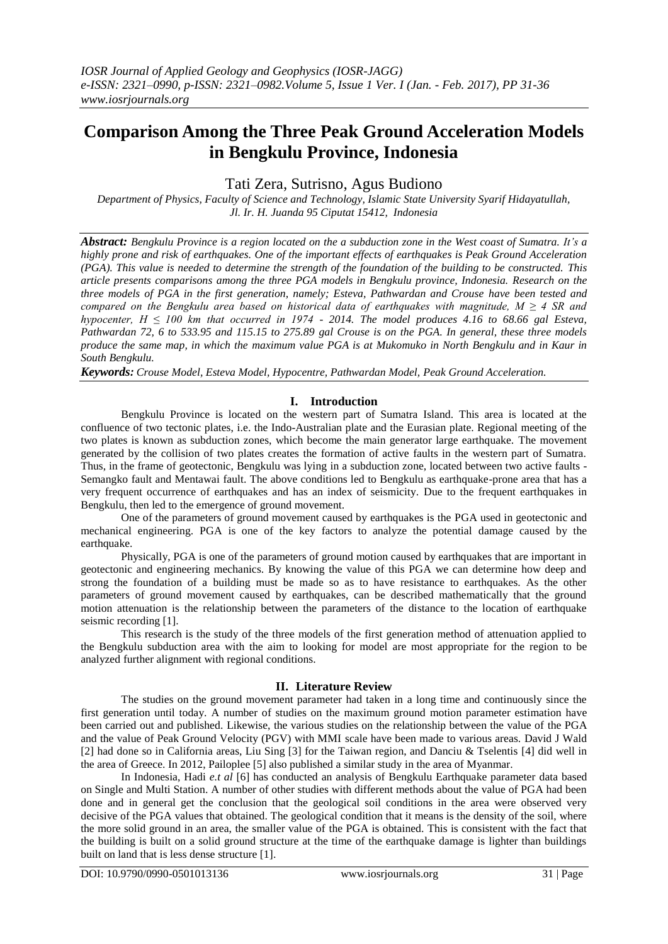# **Comparison Among the Three Peak Ground Acceleration Models in Bengkulu Province, Indonesia**

Tati Zera, Sutrisno, Agus Budiono

*Department of Physics, Faculty of Science and Technology, Islamic State University Syarif Hidayatullah, Jl. Ir. H. Juanda 95 Ciputat 15412, Indonesia*

*Abstract: Bengkulu Province is a region located on the a subduction zone in the West coast of Sumatra. It's a highly prone and risk of earthquakes. One of the important effects of earthquakes is Peak Ground Acceleration (PGA). This value is needed to determine the strength of the foundation of the building to be constructed. This article presents comparisons among the three PGA models in Bengkulu province, Indonesia. Research on the three models of PGA in the first generation, namely; Esteva, Pathwardan and Crouse have been tested and compared on the Bengkulu area based on historical data of earthquakes with magnitude, M ≥ 4 SR and hypocenter, H ≤ 100 km that occurred in 1974 - 2014. The model produces 4.16 to 68.66 gal Esteva, Pathwardan 72, 6 to 533.95 and 115.15 to 275.89 gal Crouse is on the PGA. In general, these three models produce the same map, in which the maximum value PGA is at Mukomuko in North Bengkulu and in Kaur in South Bengkulu.*

*Keywords: Crouse Model, Esteva Model, Hypocentre, Pathwardan Model, Peak Ground Acceleration.*

### **I. Introduction**

Bengkulu Province is located on the western part of Sumatra Island. This area is located at the confluence of two tectonic plates, i.e. the Indo-Australian plate and the Eurasian plate. Regional meeting of the two plates is known as subduction zones, which become the main generator large earthquake. The movement generated by the collision of two plates creates the formation of active faults in the western part of Sumatra. Thus, in the frame of geotectonic, Bengkulu was lying in a subduction zone, located between two active faults - Semangko fault and Mentawai fault. The above conditions led to Bengkulu as earthquake-prone area that has a very frequent occurrence of earthquakes and has an index of seismicity. Due to the frequent earthquakes in Bengkulu, then led to the emergence of ground movement.

One of the parameters of ground movement caused by earthquakes is the PGA used in geotectonic and mechanical engineering. PGA is one of the key factors to analyze the potential damage caused by the earthquake.

Physically, PGA is one of the parameters of ground motion caused by earthquakes that are important in geotectonic and engineering mechanics. By knowing the value of this PGA we can determine how deep and strong the foundation of a building must be made so as to have resistance to earthquakes. As the other parameters of ground movement caused by earthquakes, can be described mathematically that the ground motion attenuation is the relationship between the parameters of the distance to the location of earthquake seismic recording [1].

This research is the study of the three models of the first generation method of attenuation applied to the Bengkulu subduction area with the aim to looking for model are most appropriate for the region to be analyzed further alignment with regional conditions.

#### **II. Literature Review**

The studies on the ground movement parameter had taken in a long time and continuously since the first generation until today. A number of studies on the maximum ground motion parameter estimation have been carried out and published. Likewise, the various studies on the relationship between the value of the PGA and the value of Peak Ground Velocity (PGV) with MMI scale have been made to various areas. David J Wald [2] had done so in California areas, Liu Sing [3] for the Taiwan region, and Danciu & Tselentis [4] did well in the area of Greece. In 2012, Pailoplee [5] also published a similar study in the area of Myanmar.

In Indonesia, Hadi *e.t al* [6] has conducted an analysis of Bengkulu Earthquake parameter data based on Single and Multi Station. A number of other studies with different methods about the value of PGA had been done and in general get the conclusion that the geological soil conditions in the area were observed very decisive of the PGA values that obtained. The geological condition that it means is the density of the soil, where the more solid ground in an area, the smaller value of the PGA is obtained. This is consistent with the fact that the building is built on a solid ground structure at the time of the earthquake damage is lighter than buildings built on land that is less dense structure [1].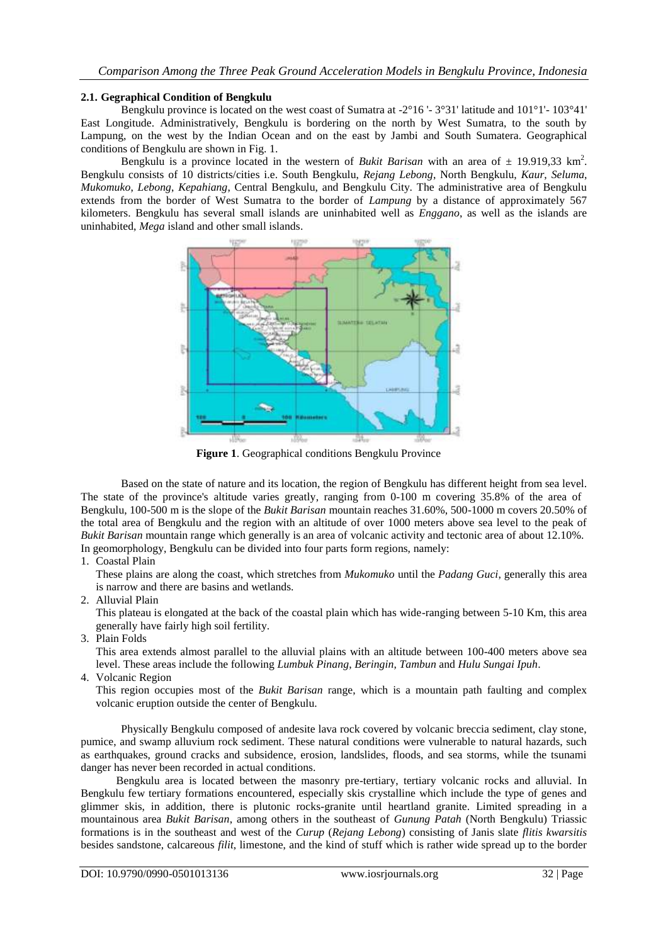#### **2.1. Gegraphical Condition of Bengkulu**

Bengkulu province is located on the west coast of Sumatra at  $-2^{\circ}16'$  -  $3^{\circ}31'$  latitude and  $101^{\circ}1'$ -  $103^{\circ}41'$ East Longitude. Administratively, Bengkulu is bordering on the north by West Sumatra, to the south by Lampung, on the west by the Indian Ocean and on the east by Jambi and South Sumatera. Geographical conditions of Bengkulu are shown in Fig. 1.

Bengkulu is a province located in the western of *Bukit Barisan* with an area of  $\pm$  19.919,33 km<sup>2</sup>. Bengkulu consists of 10 districts/cities i.e. South Bengkulu, *Rejang Lebong*, North Bengkulu, *Kaur*, *Seluma*, *Mukomuko*, *Lebong*, *Kepahiang*, Central Bengkulu, and Bengkulu City. The administrative area of Bengkulu extends from the border of West Sumatra to the border of *Lampung* by a distance of approximately 567 kilometers. Bengkulu has several small islands are uninhabited well as *Enggano*, as well as the islands are uninhabited, *Mega* island and other small islands.



**Figure 1**. Geographical conditions Bengkulu Province

Based on the state of nature and its location, the region of Bengkulu has different height from sea level. The state of the province's altitude varies greatly, ranging from 0-100 m covering 35.8% of the area of Bengkulu, 100-500 m is the slope of the *Bukit Barisan* mountain reaches 31.60%, 500-1000 m covers 20.50% of the total area of Bengkulu and the region with an altitude of over 1000 meters above sea level to the peak of *Bukit Barisan* mountain range which generally is an area of volcanic activity and tectonic area of about 12.10%. In geomorphology, Bengkulu can be divided into four parts form regions, namely:

1. Coastal Plain

These plains are along the coast, which stretches from *Mukomuko* until the *Padang Guci*, generally this area is narrow and there are basins and wetlands.

2. Alluvial Plain

This plateau is elongated at the back of the coastal plain which has wide-ranging between 5-10 Km, this area generally have fairly high soil fertility.

3. Plain Folds

This area extends almost parallel to the alluvial plains with an altitude between 100-400 meters above sea level. These areas include the following *Lumbuk Pinang*, *Beringin*, *Tambun* and *Hulu Sungai Ipuh*.

4. Volcanic Region

This region occupies most of the *Bukit Barisan* range, which is a mountain path faulting and complex volcanic eruption outside the center of Bengkulu.

Physically Bengkulu composed of andesite lava rock covered by volcanic breccia sediment, clay stone, pumice, and swamp alluvium rock sediment. These natural conditions were vulnerable to natural hazards, such as earthquakes, ground cracks and subsidence, erosion, landslides, floods, and sea storms, while the tsunami danger has never been recorded in actual conditions.

Bengkulu area is located between the masonry pre-tertiary, tertiary volcanic rocks and alluvial. In Bengkulu few tertiary formations encountered, especially skis crystalline which include the type of genes and glimmer skis, in addition, there is plutonic rocks-granite until heartland granite. Limited spreading in a mountainous area *Bukit Barisan*, among others in the southeast of *Gunung Patah* (North Bengkulu) Triassic formations is in the southeast and west of the *Curup* (*Rejang Lebong*) consisting of Janis slate *flitis kwarsitis* besides sandstone, calcareous *filit*, limestone, and the kind of stuff which is rather wide spread up to the border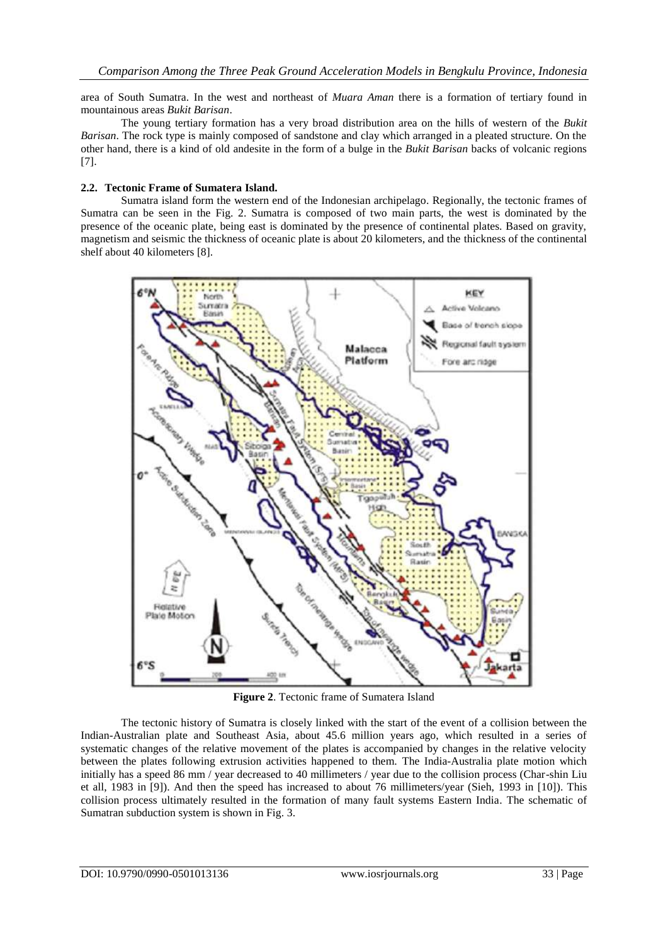area of South Sumatra. In the west and northeast of *Muara Aman* there is a formation of tertiary found in mountainous areas *Bukit Barisan*.

The young tertiary formation has a very broad distribution area on the hills of western of the *Bukit Barisan*. The rock type is mainly composed of sandstone and clay which arranged in a pleated structure. On the other hand, there is a kind of old andesite in the form of a bulge in the *Bukit Barisan* backs of volcanic regions [7].

### **2.2. Tectonic Frame of Sumatera Island.**

Sumatra island form the western end of the Indonesian archipelago. Regionally, the tectonic frames of Sumatra can be seen in the Fig. 2. Sumatra is composed of two main parts, the west is dominated by the presence of the oceanic plate, being east is dominated by the presence of continental plates. Based on gravity, magnetism and seismic the thickness of oceanic plate is about 20 kilometers, and the thickness of the continental shelf about 40 kilometers [8].



**Figure 2**. Tectonic frame of Sumatera Island

The tectonic history of Sumatra is closely linked with the start of the event of a collision between the Indian-Australian plate and Southeast Asia, about 45.6 million years ago, which resulted in a series of systematic changes of the relative movement of the plates is accompanied by changes in the relative velocity between the plates following extrusion activities happened to them. The India-Australia plate motion which initially has a speed 86 mm / year decreased to 40 millimeters / year due to the collision process (Char-shin Liu et all, 1983 in [9]). And then the speed has increased to about 76 millimeters/year (Sieh, 1993 in [10]). This collision process ultimately resulted in the formation of many fault systems Eastern India. The schematic of Sumatran subduction system is shown in Fig. 3.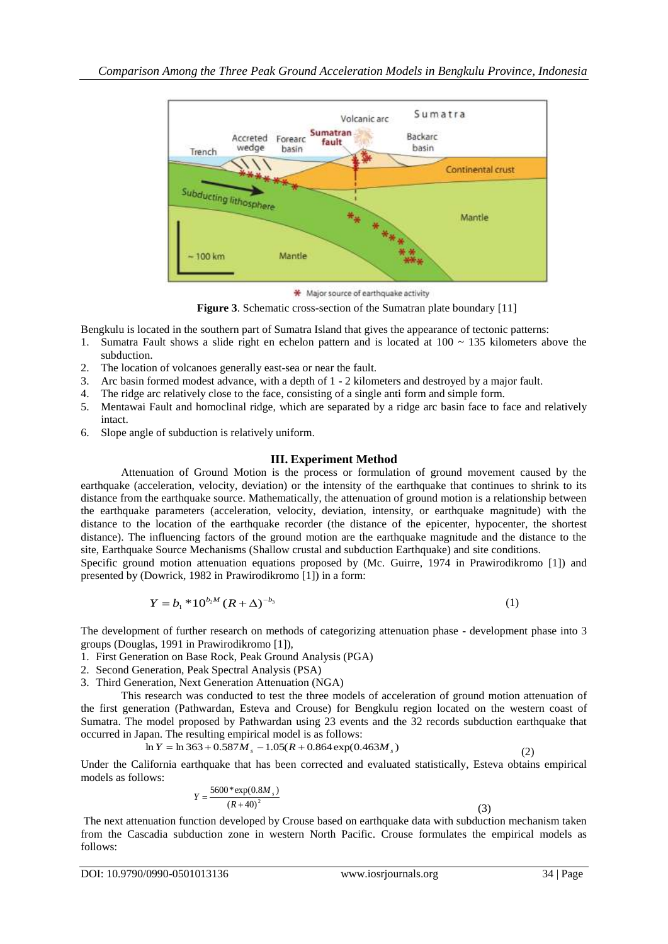

\* Major source of earthquake activity

**Figure 3**. Schematic cross-section of the Sumatran plate boundary [11]

Bengkulu is located in the southern part of Sumatra Island that gives the appearance of tectonic patterns:

- 1. Sumatra Fault shows a slide right en echelon pattern and is located at  $100 \sim 135$  kilometers above the subduction.
- 2. The location of volcanoes generally east-sea or near the fault.
- 3. Arc basin formed modest advance, with a depth of 1 2 kilometers and destroyed by a major fault.
- 4. The ridge arc relatively close to the face, consisting of a single anti form and simple form.
- 5. Mentawai Fault and homoclinal ridge, which are separated by a ridge arc basin face to face and relatively intact.
- 6. Slope angle of subduction is relatively uniform.

## **III. Experiment Method**

Attenuation of Ground Motion is the process or formulation of ground movement caused by the earthquake (acceleration, velocity, deviation) or the intensity of the earthquake that continues to shrink to its distance from the earthquake source. Mathematically, the attenuation of ground motion is a relationship between the earthquake parameters (acceleration, velocity, deviation, intensity, or earthquake magnitude) with the distance to the location of the earthquake recorder (the distance of the epicenter, hypocenter, the shortest distance). The influencing factors of the ground motion are the earthquake magnitude and the distance to the site, Earthquake Source Mechanisms (Shallow crustal and subduction Earthquake) and site conditions.

Specific ground motion attenuation equations proposed by (Mc. Guirre, 1974 in Prawirodikromo [1]) and presented by (Dowrick, 1982 in Prawirodikromo [1]) in a form:

$$
Y = b_1 * 10^{b_2 M} (R + \Delta)^{-b_3}
$$
 (1)

The development of further research on methods of categorizing attenuation phase - development phase into 3 groups (Douglas, 1991 in Prawirodikromo [1]),

- 1. First Generation on Base Rock, Peak Ground Analysis (PGA)
- 2. Second Generation, Peak Spectral Analysis (PSA)
- 3. Third Generation, Next Generation Attenuation (NGA)

This research was conducted to test the three models of acceleration of ground motion attenuation of the first generation (Pathwardan*,* Esteva and Crouse) for Bengkulu region located on the western coast of Sumatra. The model proposed by Pathwardan using 23 events and the 32 records subduction earthquake that occurred in Japan. The resulting empirical model is as follows:

$$
\ln Y = \ln 363 + 0.587 M_s - 1.05(R + 0.864 \exp(0.463 M_s)
$$
\n(2)

Under the California earthquake that has been corrected and evaluated statistically, Esteva obtains empirical models as follows:

$$
Y = \frac{5600 \cdot \exp(0.8M_s)}{(R+40)^2}
$$
 (3)

The next attenuation function developed by Crouse based on earthquake data with subduction mechanism taken from the Cascadia subduction zone in western North Pacific. Crouse formulates the empirical models as follows: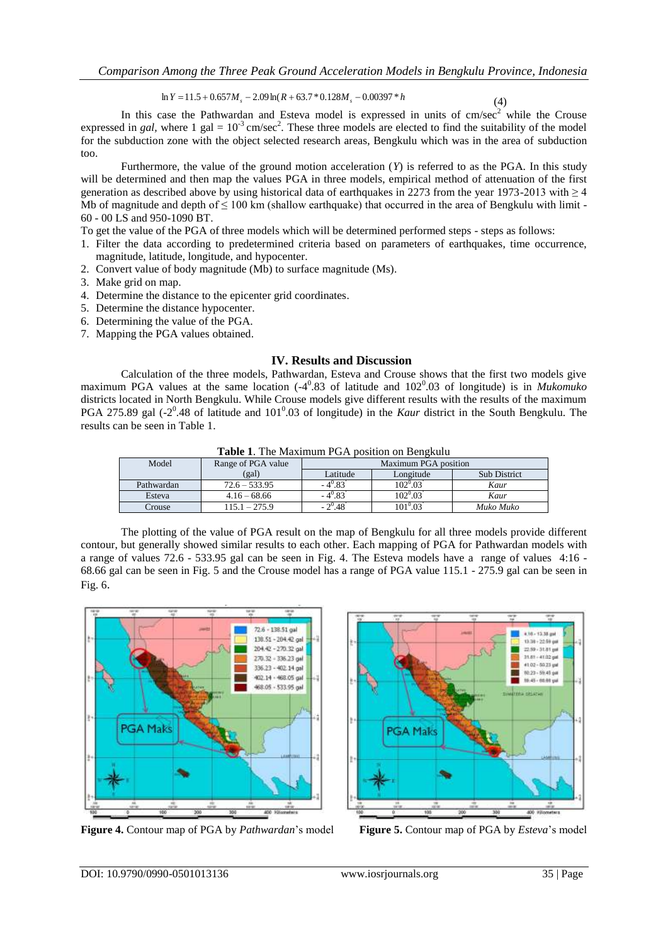$\ln Y = 11.5 + 0.657 M_s - 2.09 \ln(R + 63.7 * 0.128 M_s - 0.00397 * h$ 

(4)

In this case the Pathwardan and Esteva model is expressed in units of  $cm/sec<sup>2</sup>$  while the Crouse expressed in *gal*, where 1 gal =  $10^{-3}$  cm/sec<sup>2</sup>. These three models are elected to find the suitability of the model for the subduction zone with the object selected research areas, Bengkulu which was in the area of subduction too.

Furthermore, the value of the ground motion acceleration (*Y*) is referred to as the PGA. In this study will be determined and then map the values PGA in three models, empirical method of attenuation of the first generation as described above by using historical data of earthquakes in 2273 from the year 1973-2013 with ≥ 4 Mb of magnitude and depth of  $\leq 100$  km (shallow earthquake) that occurred in the area of Bengkulu with limit -60 - 00 LS and 950-1090 BT.

To get the value of the PGA of three models which will be determined performed steps - steps as follows:

- 1. Filter the data according to predetermined criteria based on parameters of earthquakes, time occurrence, magnitude, latitude, longitude, and hypocenter.
- 2. Convert value of body magnitude (Mb) to surface magnitude (Ms).
- 3. Make grid on map.
- 4. Determine the distance to the epicenter grid coordinates.
- 5. Determine the distance hypocenter.
- 6. Determining the value of the PGA.
- 7. Mapping the PGA values obtained.

### **IV. Results and Discussion**

Calculation of the three models, Pathwardan, Esteva and Crouse shows that the first two models give maximum PGA values at the same location (-4<sup>0</sup>.83 of latitude and 102<sup>0</sup>.03 of longitude) is in *Mukomuko* districts located in North Bengkulu. While Crouse models give different results with the results of the maximum PGA 275.89 gal  $(-2^0.48$  of latitude and  $101^0.03$  of longitude) in the *Kaur* district in the South Bengkulu. The results can be seen in Table 1.

| Model      | Range of PGA value | Maximum PGA position |            |                     |
|------------|--------------------|----------------------|------------|---------------------|
|            | (gal)              | Latitude             | Longitude  | <b>Sub District</b> |
| Pathwardan | $72.6 - 533.95$    | $-4^{0}.83$          | 102º.03    | Kaur                |
| Esteva     | $4.16 - 68.66$     | $-4^{0}.83$          | $102^0.03$ | Kaur                |
| Crouse     | 115.1 – 275.9      | $-2^{0}$ .48         | $101^0.03$ | Muko Muko           |

**Table 1**. The Maximum PGA position on Bengkulu

The plotting of the value of PGA result on the map of Bengkulu for all three models provide different contour, but generally showed similar results to each other. Each mapping of PGA for Pathwardan models with a range of values 72.6 - 533.95 gal can be seen in Fig. 4. The Esteva models have a range of values 4:16 - 68.66 gal can be seen in Fig. 5 and the Crouse model has a range of PGA value 115.1 - 275.9 gal can be seen in Fig. 6.



**Figure 4.** Contour map of PGA by *Pathwardan*'s model **Figure 5.** Contour map of PGA by *Esteva*'s model